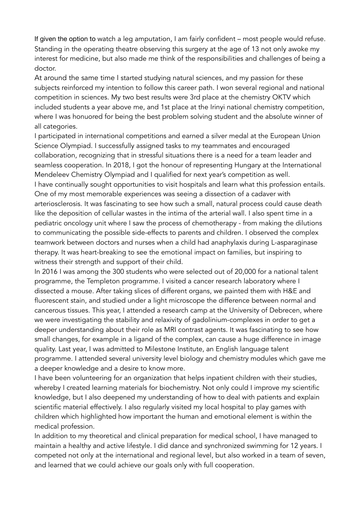If given the option to watch a leg amputation, I am fairly confident – most people would refuse. Standing in the operating theatre observing this surgery at the age of 13 not only awoke my interest for medicine, but also made me think of the responsibilities and challenges of being a doctor.

At around the same time I started studying natural sciences, and my passion for these subjects reinforced my intention to follow this career path. I won several regional and national competition in sciences. My two best results were 3rd place at the chemistry OKTV which included students a year above me, and 1st place at the Irinyi national chemistry competition, where I was honuored for being the best problem solving student and the absolute winner of all categories.

I participated in international competitions and earned a silver medal at the European Union Science Olympiad. I successfully assigned tasks to my teammates and encouraged collaboration, recognizing that in stressful situations there is a need for a team leader and seamless cooperation. In 2018, I got the honour of representing Hungary at the International Mendeleev Chemistry Olympiad and I qualified for next year's competition as well. I have continually sought opportunities to visit hospitals and learn what this profession entails. One of my most memorable experiences was seeing a dissection of a cadaver with arteriosclerosis. It was fascinating to see how such a small, natural process could cause death like the deposition of cellular wastes in the intima of the arterial wall. I also spent time in a pediatric oncology unit where I saw the process of chemotherapy - from making the dilutions to communicating the possible side-effects to parents and children. I observed the complex teamwork between doctors and nurses when a child had anaphylaxis during L-asparaginase therapy. It was heart-breaking to see the emotional impact on families, but inspiring to witness their strength and support of their child.

In 2016 I was among the 300 students who were selected out of 20,000 for a national talent programme, the Templeton programme. I visited a cancer research laboratory where I dissected a mouse. After taking slices of different organs, we painted them with H&E and fluorescent stain, and studied under a light microscope the difference between normal and cancerous tissues. This year, I attended a research camp at the University of Debrecen, where we were investigating the stability and relaxivity of gadolinium-complexes in order to get a deeper understanding about their role as MRI contrast agents. It was fascinating to see how small changes, for example in a ligand of the complex, can cause a huge difference in image quality. Last year, I was admitted to Milestone Institute, an English language talent programme. I attended several university level biology and chemistry modules which gave me a deeper knowledge and a desire to know more.

I have been volunteering for an organization that helps inpatient children with their studies, whereby I created learning materials for biochemistry. Not only could I improve my scientific knowledge, but I also deepened my understanding of how to deal with patients and explain scientific material effectively. I also regularly visited my local hospital to play games with children which highlighted how important the human and emotional element is within the medical profession.

In addition to my theoretical and clinical preparation for medical school, I have managed to maintain a healthy and active lifestyle. I did dance and synchronized swimming for 12 years. I competed not only at the international and regional level, but also worked in a team of seven, and learned that we could achieve our goals only with full cooperation.